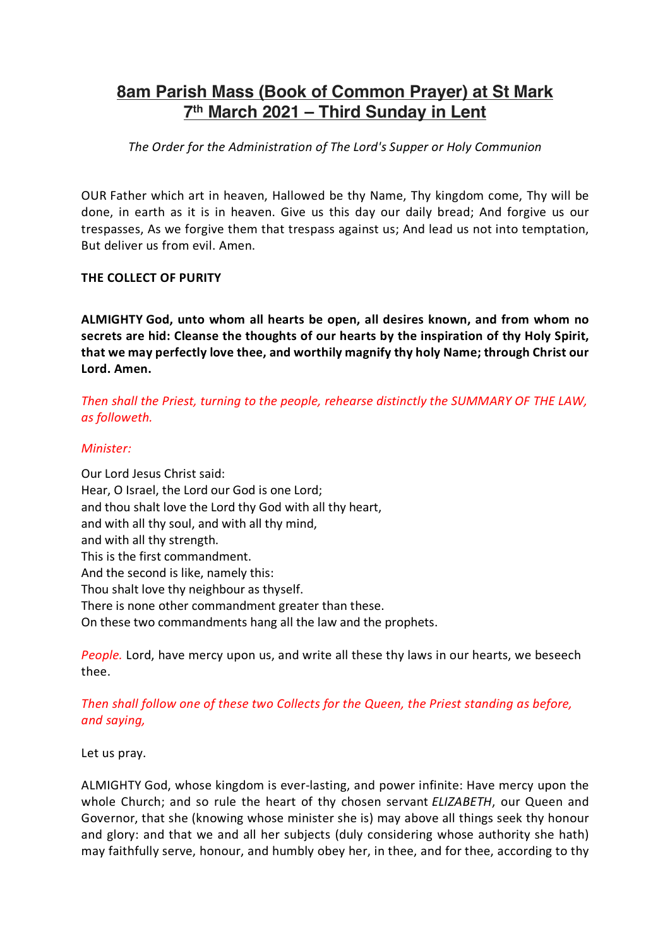# **8am Parish Mass (Book of Common Prayer) at St Mark 7th March 2021 – Third Sunday in Lent**

*The Order for the Administration of The Lord's Supper or Holy Communion*

OUR Father which art in heaven, Hallowed be thy Name, Thy kingdom come, Thy will be done, in earth as it is in heaven. Give us this day our daily bread; And forgive us our trespasses, As we forgive them that trespass against us; And lead us not into temptation, But deliver us from evil. Amen.

#### **THE COLLECT OF PURITY**

**ALMIGHTY God, unto whom all hearts be open, all desires known, and from whom no secrets are hid: Cleanse the thoughts of our hearts by the inspiration of thy Holy Spirit, that we may perfectly love thee, and worthily magnify thy holy Name; through Christ our Lord. Amen.**

*Then shall the Priest, turning to the people, rehearse distinctly the SUMMARY OF THE LAW, as followeth.*

#### *Minister:*

Our Lord Jesus Christ said: Hear, O Israel, the Lord our God is one Lord; and thou shalt love the Lord thy God with all thy heart, and with all thy soul, and with all thy mind, and with all thy strength. This is the first commandment. And the second is like, namely this: Thou shalt love thy neighbour as thyself. There is none other commandment greater than these. On these two commandments hang all the law and the prophets.

*People.* Lord, have mercy upon us, and write all these thy laws in our hearts, we beseech thee.

# *Then shall follow one of these two Collects for the Queen, the Priest standing as before, and saying,*

Let us pray.

ALMIGHTY God, whose kingdom is ever-lasting, and power infinite: Have mercy upon the whole Church; and so rule the heart of thy chosen servant *ELIZABETH*, our Queen and Governor, that she (knowing whose minister she is) may above all things seek thy honour and glory: and that we and all her subjects (duly considering whose authority she hath) may faithfully serve, honour, and humbly obey her, in thee, and for thee, according to thy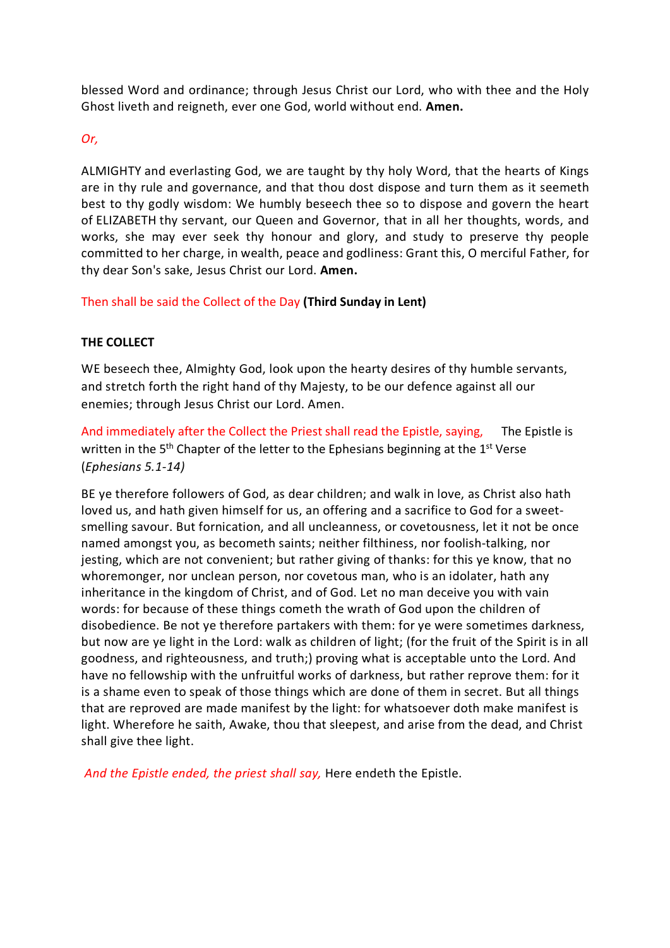blessed Word and ordinance; through Jesus Christ our Lord, who with thee and the Holy Ghost liveth and reigneth, ever one God, world without end. **Amen.**

## *Or,*

ALMIGHTY and everlasting God, we are taught by thy holy Word, that the hearts of Kings are in thy rule and governance, and that thou dost dispose and turn them as it seemeth best to thy godly wisdom: We humbly beseech thee so to dispose and govern the heart of ELIZABETH thy servant, our Queen and Governor, that in all her thoughts, words, and works, she may ever seek thy honour and glory, and study to preserve thy people committed to her charge, in wealth, peace and godliness: Grant this, O merciful Father, for thy dear Son's sake, Jesus Christ our Lord. **Amen.**

Then shall be said the Collect of the Day **(Third Sunday in Lent)**

#### **THE COLLECT**

WE beseech thee, Almighty God, look upon the hearty desires of thy humble servants, and stretch forth the right hand of thy Majesty, to be our defence against all our enemies; through Jesus Christ our Lord. Amen.

And immediately after the Collect the Priest shall read the Epistle, saying, The Epistle is written in the  $5<sup>th</sup>$  Chapter of the letter to the Ephesians beginning at the  $1<sup>st</sup>$  Verse (*Ephesians 5.1-14)*

BE ye therefore followers of God, as dear children; and walk in love, as Christ also hath loved us, and hath given himself for us, an offering and a sacrifice to God for a sweetsmelling savour. But fornication, and all uncleanness, or covetousness, let it not be once named amongst you, as becometh saints; neither filthiness, nor foolish-talking, nor jesting, which are not convenient; but rather giving of thanks: for this ye know, that no whoremonger, nor unclean person, nor covetous man, who is an idolater, hath any inheritance in the kingdom of Christ, and of God. Let no man deceive you with vain words: for because of these things cometh the wrath of God upon the children of disobedience. Be not ye therefore partakers with them: for ye were sometimes darkness, but now are ye light in the Lord: walk as children of light; (for the fruit of the Spirit is in all goodness, and righteousness, and truth;) proving what is acceptable unto the Lord. And have no fellowship with the unfruitful works of darkness, but rather reprove them: for it is a shame even to speak of those things which are done of them in secret. But all things that are reproved are made manifest by the light: for whatsoever doth make manifest is light. Wherefore he saith, Awake, thou that sleepest, and arise from the dead, and Christ shall give thee light.

*And the Epistle ended, the priest shall say,* Here endeth the Epistle.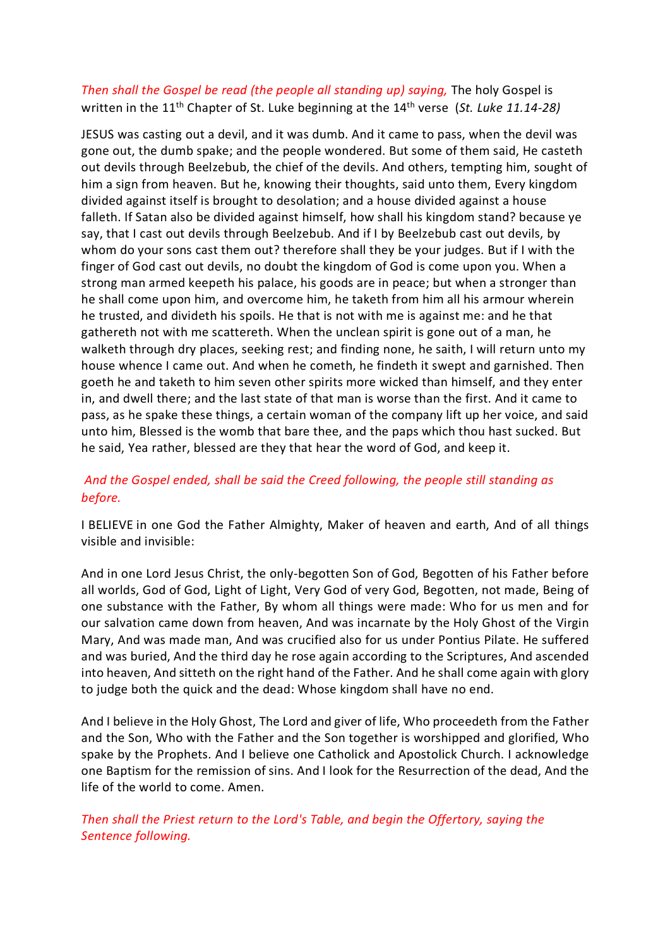# *Then shall the Gospel be read (the people all standing up) saying,* The holy Gospel is written in the 11<sup>th</sup> Chapter of St. Luke beginning at the 14<sup>th</sup> verse (St. Luke 11.14-28)

JESUS was casting out a devil, and it was dumb. And it came to pass, when the devil was gone out, the dumb spake; and the people wondered. But some of them said, He casteth out devils through Beelzebub, the chief of the devils. And others, tempting him, sought of him a sign from heaven. But he, knowing their thoughts, said unto them, Every kingdom divided against itself is brought to desolation; and a house divided against a house falleth. If Satan also be divided against himself, how shall his kingdom stand? because ye say, that I cast out devils through Beelzebub. And if I by Beelzebub cast out devils, by whom do your sons cast them out? therefore shall they be your judges. But if I with the finger of God cast out devils, no doubt the kingdom of God is come upon you. When a strong man armed keepeth his palace, his goods are in peace; but when a stronger than he shall come upon him, and overcome him, he taketh from him all his armour wherein he trusted, and divideth his spoils. He that is not with me is against me: and he that gathereth not with me scattereth. When the unclean spirit is gone out of a man, he walketh through dry places, seeking rest; and finding none, he saith, I will return unto my house whence I came out. And when he cometh, he findeth it swept and garnished. Then goeth he and taketh to him seven other spirits more wicked than himself, and they enter in, and dwell there; and the last state of that man is worse than the first. And it came to pass, as he spake these things, a certain woman of the company lift up her voice, and said unto him, Blessed is the womb that bare thee, and the paps which thou hast sucked. But he said, Yea rather, blessed are they that hear the word of God, and keep it.

# *And the Gospel ended, shall be said the Creed following, the people still standing as before.*

I BELIEVE in one God the Father Almighty, Maker of heaven and earth, And of all things visible and invisible:

And in one Lord Jesus Christ, the only-begotten Son of God, Begotten of his Father before all worlds, God of God, Light of Light, Very God of very God, Begotten, not made, Being of one substance with the Father, By whom all things were made: Who for us men and for our salvation came down from heaven, And was incarnate by the Holy Ghost of the Virgin Mary, And was made man, And was crucified also for us under Pontius Pilate. He suffered and was buried, And the third day he rose again according to the Scriptures, And ascended into heaven, And sitteth on the right hand of the Father. And he shall come again with glory to judge both the quick and the dead: Whose kingdom shall have no end.

And I believe in the Holy Ghost, The Lord and giver of life, Who proceedeth from the Father and the Son, Who with the Father and the Son together is worshipped and glorified, Who spake by the Prophets. And I believe one Catholick and Apostolick Church. I acknowledge one Baptism for the remission of sins. And I look for the Resurrection of the dead, And the life of the world to come. Amen.

*Then shall the Priest return to the Lord's Table, and begin the Offertory, saying the Sentence following.*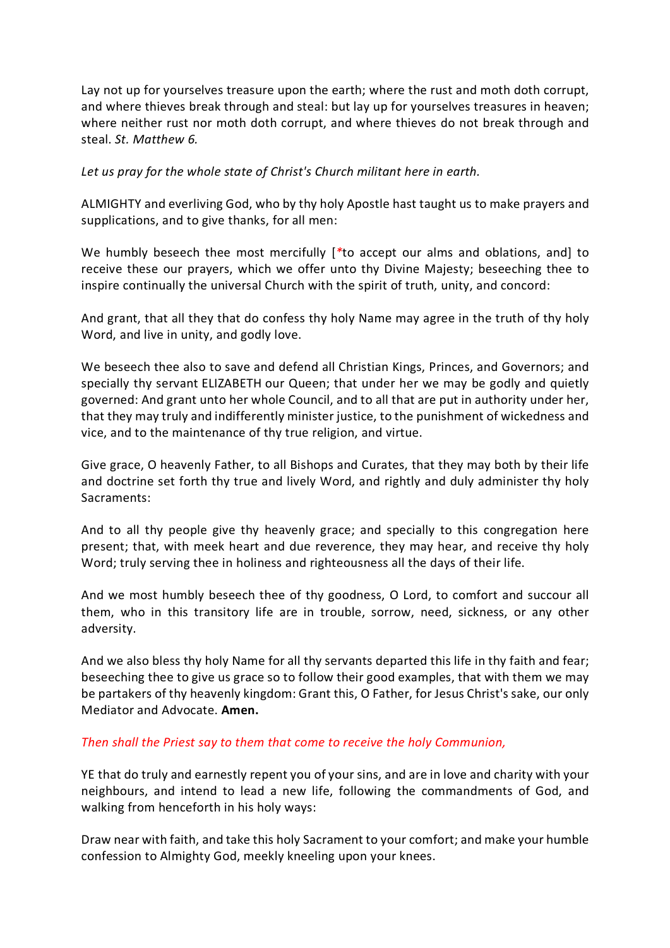Lay not up for yourselves treasure upon the earth; where the rust and moth doth corrupt, and where thieves break through and steal: but lay up for yourselves treasures in heaven; where neither rust nor moth doth corrupt, and where thieves do not break through and steal. *St. Matthew 6.*

*Let us pray for the whole state of Christ's Church militant here in earth.*

ALMIGHTY and everliving God, who by thy holy Apostle hast taught us to make prayers and supplications, and to give thanks, for all men:

We humbly beseech thee most mercifully [*\**to accept our alms and oblations, and] to receive these our prayers, which we offer unto thy Divine Majesty; beseeching thee to inspire continually the universal Church with the spirit of truth, unity, and concord:

And grant, that all they that do confess thy holy Name may agree in the truth of thy holy Word, and live in unity, and godly love.

We beseech thee also to save and defend all Christian Kings, Princes, and Governors; and specially thy servant ELIZABETH our Queen; that under her we may be godly and quietly governed: And grant unto her whole Council, and to all that are put in authority under her, that they may truly and indifferently minister justice, to the punishment of wickedness and vice, and to the maintenance of thy true religion, and virtue.

Give grace, O heavenly Father, to all Bishops and Curates, that they may both by their life and doctrine set forth thy true and lively Word, and rightly and duly administer thy holy Sacraments:

And to all thy people give thy heavenly grace; and specially to this congregation here present; that, with meek heart and due reverence, they may hear, and receive thy holy Word; truly serving thee in holiness and righteousness all the days of their life.

And we most humbly beseech thee of thy goodness, O Lord, to comfort and succour all them, who in this transitory life are in trouble, sorrow, need, sickness, or any other adversity.

And we also bless thy holy Name for all thy servants departed this life in thy faith and fear; beseeching thee to give us grace so to follow their good examples, that with them we may be partakers of thy heavenly kingdom: Grant this, O Father, for Jesus Christ's sake, our only Mediator and Advocate. **Amen.**

## *Then shall the Priest say to them that come to receive the holy Communion,*

YE that do truly and earnestly repent you of your sins, and are in love and charity with your neighbours, and intend to lead a new life, following the commandments of God, and walking from henceforth in his holy ways:

Draw near with faith, and take this holy Sacrament to your comfort; and make your humble confession to Almighty God, meekly kneeling upon your knees.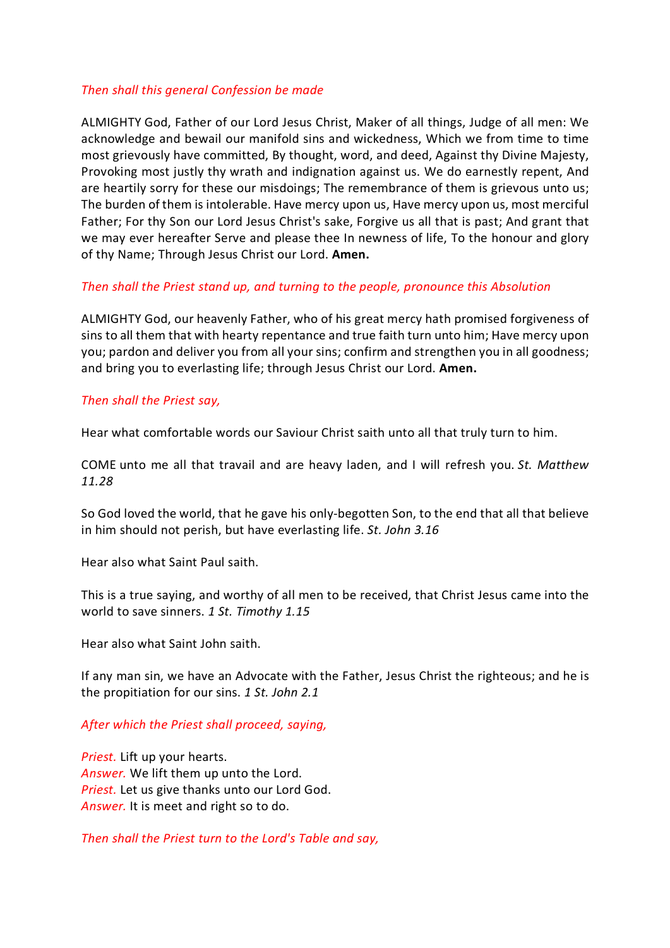#### *Then shall this general Confession be made*

ALMIGHTY God, Father of our Lord Jesus Christ, Maker of all things, Judge of all men: We acknowledge and bewail our manifold sins and wickedness, Which we from time to time most grievously have committed, By thought, word, and deed, Against thy Divine Majesty, Provoking most justly thy wrath and indignation against us. We do earnestly repent, And are heartily sorry for these our misdoings; The remembrance of them is grievous unto us; The burden of them is intolerable. Have mercy upon us, Have mercy upon us, most merciful Father; For thy Son our Lord Jesus Christ's sake, Forgive us all that is past; And grant that we may ever hereafter Serve and please thee In newness of life, To the honour and glory of thy Name; Through Jesus Christ our Lord. **Amen.**

#### *Then shall the Priest stand up, and turning to the people, pronounce this Absolution*

ALMIGHTY God, our heavenly Father, who of his great mercy hath promised forgiveness of sins to all them that with hearty repentance and true faith turn unto him; Have mercy upon you; pardon and deliver you from all your sins; confirm and strengthen you in all goodness; and bring you to everlasting life; through Jesus Christ our Lord. **Amen.**

#### *Then shall the Priest say,*

Hear what comfortable words our Saviour Christ saith unto all that truly turn to him.

COME unto me all that travail and are heavy laden, and I will refresh you. *St. Matthew 11.28*

So God loved the world, that he gave his only-begotten Son, to the end that all that believe in him should not perish, but have everlasting life. *St. John 3.16*

Hear also what Saint Paul saith.

This is a true saying, and worthy of all men to be received, that Christ Jesus came into the world to save sinners. *1 St. Timothy 1.15*

Hear also what Saint John saith.

If any man sin, we have an Advocate with the Father, Jesus Christ the righteous; and he is the propitiation for our sins. *1 St. John 2.1*

## *After which the Priest shall proceed, saying,*

*Priest.* Lift up your hearts. *Answer.* We lift them up unto the Lord. *Priest.* Let us give thanks unto our Lord God. *Answer.* It is meet and right so to do.

*Then shall the Priest turn to the Lord's Table and say,*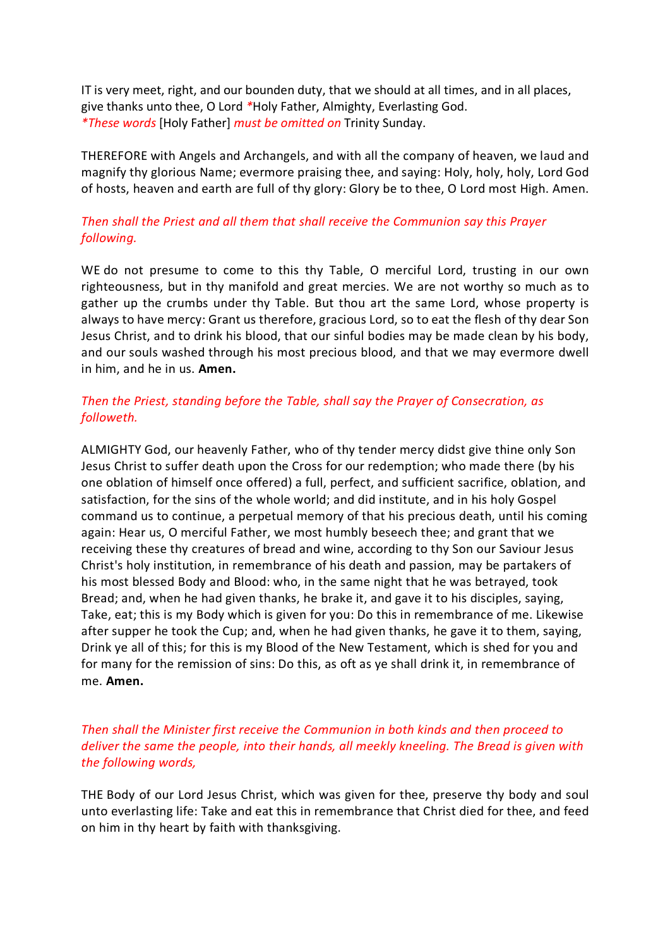IT is very meet, right, and our bounden duty, that we should at all times, and in all places, give thanks unto thee, O Lord *\**Holy Father, Almighty, Everlasting God. *\*These words* [Holy Father] *must be omitted on* Trinity Sunday.

THEREFORE with Angels and Archangels, and with all the company of heaven, we laud and magnify thy glorious Name; evermore praising thee, and saying: Holy, holy, holy, Lord God of hosts, heaven and earth are full of thy glory: Glory be to thee, O Lord most High. Amen.

# *Then shall the Priest and all them that shall receive the Communion say this Prayer following.*

WE do not presume to come to this thy Table, O merciful Lord, trusting in our own righteousness, but in thy manifold and great mercies. We are not worthy so much as to gather up the crumbs under thy Table. But thou art the same Lord, whose property is always to have mercy: Grant us therefore, gracious Lord, so to eat the flesh of thy dear Son Jesus Christ, and to drink his blood, that our sinful bodies may be made clean by his body, and our souls washed through his most precious blood, and that we may evermore dwell in him, and he in us. **Amen.**

# *Then the Priest, standing before the Table, shall say the Prayer of Consecration, as followeth.*

ALMIGHTY God, our heavenly Father, who of thy tender mercy didst give thine only Son Jesus Christ to suffer death upon the Cross for our redemption; who made there (by his one oblation of himself once offered) a full, perfect, and sufficient sacrifice, oblation, and satisfaction, for the sins of the whole world; and did institute, and in his holy Gospel command us to continue, a perpetual memory of that his precious death, until his coming again: Hear us, O merciful Father, we most humbly beseech thee; and grant that we receiving these thy creatures of bread and wine, according to thy Son our Saviour Jesus Christ's holy institution, in remembrance of his death and passion, may be partakers of his most blessed Body and Blood: who, in the same night that he was betrayed, took Bread; and, when he had given thanks, he brake it, and gave it to his disciples, saying, Take, eat; this is my Body which is given for you: Do this in remembrance of me. Likewise after supper he took the Cup; and, when he had given thanks, he gave it to them, saying, Drink ye all of this; for this is my Blood of the New Testament, which is shed for you and for many for the remission of sins: Do this, as oft as ye shall drink it, in remembrance of me. **Amen.**

## *Then shall the Minister first receive the Communion in both kinds and then proceed to deliver the same the people, into their hands, all meekly kneeling. The Bread is given with the following words,*

THE Body of our Lord Jesus Christ, which was given for thee, preserve thy body and soul unto everlasting life: Take and eat this in remembrance that Christ died for thee, and feed on him in thy heart by faith with thanksgiving.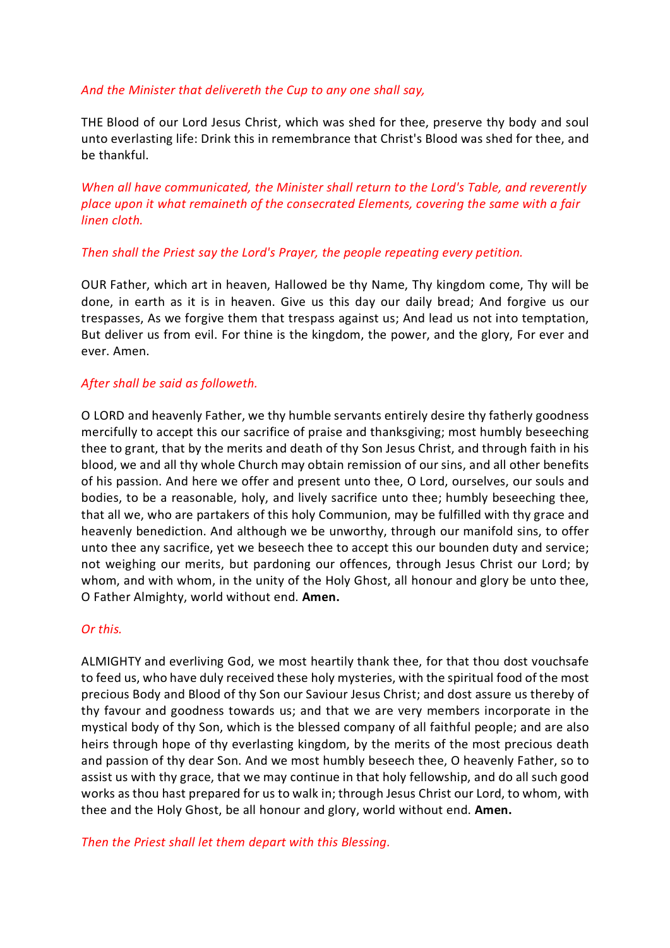#### *And the Minister that delivereth the Cup to any one shall say,*

THE Blood of our Lord Jesus Christ, which was shed for thee, preserve thy body and soul unto everlasting life: Drink this in remembrance that Christ's Blood was shed for thee, and be thankful.

*When all have communicated, the Minister shall return to the Lord's Table, and reverently place upon it what remaineth of the consecrated Elements, covering the same with a fair linen cloth.*

#### *Then shall the Priest say the Lord's Prayer, the people repeating every petition.*

OUR Father, which art in heaven, Hallowed be thy Name, Thy kingdom come, Thy will be done, in earth as it is in heaven. Give us this day our daily bread; And forgive us our trespasses, As we forgive them that trespass against us; And lead us not into temptation, But deliver us from evil. For thine is the kingdom, the power, and the glory, For ever and ever. Amen.

#### *After shall be said as followeth.*

O LORD and heavenly Father, we thy humble servants entirely desire thy fatherly goodness mercifully to accept this our sacrifice of praise and thanksgiving; most humbly beseeching thee to grant, that by the merits and death of thy Son Jesus Christ, and through faith in his blood, we and all thy whole Church may obtain remission of our sins, and all other benefits of his passion. And here we offer and present unto thee, O Lord, ourselves, our souls and bodies, to be a reasonable, holy, and lively sacrifice unto thee; humbly beseeching thee, that all we, who are partakers of this holy Communion, may be fulfilled with thy grace and heavenly benediction. And although we be unworthy, through our manifold sins, to offer unto thee any sacrifice, yet we beseech thee to accept this our bounden duty and service; not weighing our merits, but pardoning our offences, through Jesus Christ our Lord; by whom, and with whom, in the unity of the Holy Ghost, all honour and glory be unto thee, O Father Almighty, world without end. **Amen.**

## *Or this.*

ALMIGHTY and everliving God, we most heartily thank thee, for that thou dost vouchsafe to feed us, who have duly received these holy mysteries, with the spiritual food of the most precious Body and Blood of thy Son our Saviour Jesus Christ; and dost assure us thereby of thy favour and goodness towards us; and that we are very members incorporate in the mystical body of thy Son, which is the blessed company of all faithful people; and are also heirs through hope of thy everlasting kingdom, by the merits of the most precious death and passion of thy dear Son. And we most humbly beseech thee, O heavenly Father, so to assist us with thy grace, that we may continue in that holy fellowship, and do all such good works as thou hast prepared for us to walk in; through Jesus Christ our Lord, to whom, with thee and the Holy Ghost, be all honour and glory, world without end. **Amen.**

*Then the Priest shall let them depart with this Blessing.*